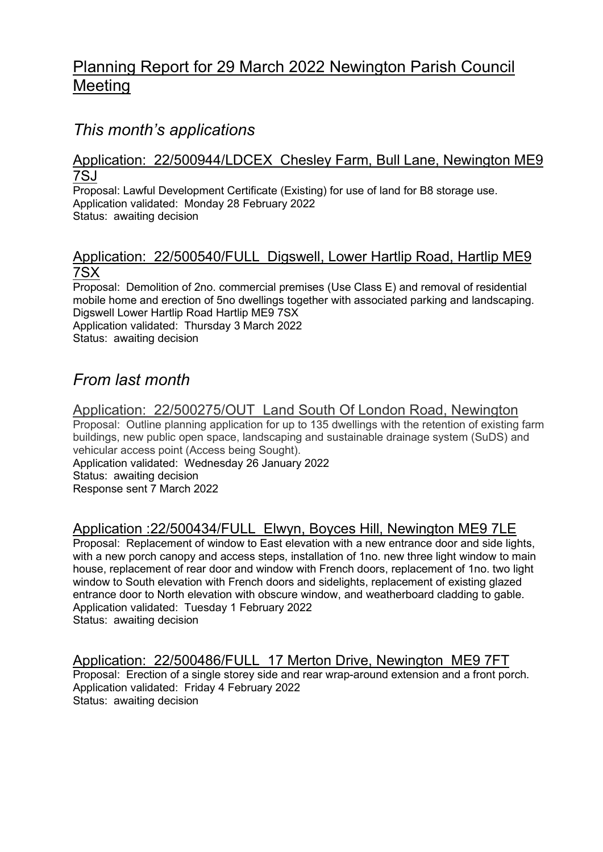# Planning Report for 29 March 2022 Newington Parish Council Meeting

## This month's applications

#### Application: 22/500944/LDCEX Chesley Farm, Bull Lane, Newington ME9 7SJ

Proposal: Lawful Development Certificate (Existing) for use of land for B8 storage use. Application validated: Monday 28 February 2022 Status: awaiting decision

### Application: 22/500540/FULL Digswell, Lower Hartlip Road, Hartlip ME9 7SX

Proposal: Demolition of 2no. commercial premises (Use Class E) and removal of residential mobile home and erection of 5no dwellings together with associated parking and landscaping. Digswell Lower Hartlip Road Hartlip ME9 7SX Application validated: Thursday 3 March 2022 Status: awaiting decision

## From last month

## Application: 22/500275/OUT Land South Of London Road, Newington

Proposal: Outline planning application for up to 135 dwellings with the retention of existing farm buildings, new public open space, landscaping and sustainable drainage system (SuDS) and vehicular access point (Access being Sought). Application validated: Wednesday 26 January 2022 Status: awaiting decision

Response sent 7 March 2022

## Application :22/500434/FULL Elwyn, Boyces Hill, Newington ME9 7LE

Proposal: Replacement of window to East elevation with a new entrance door and side lights, with a new porch canopy and access steps, installation of 1no. new three light window to main house, replacement of rear door and window with French doors, replacement of 1no. two light window to South elevation with French doors and sidelights, replacement of existing glazed entrance door to North elevation with obscure window, and weatherboard cladding to gable. Application validated: Tuesday 1 February 2022 Status: awaiting decision

## Application: 22/500486/FULL 17 Merton Drive, Newington ME9 7FT

Proposal: Erection of a single storey side and rear wrap-around extension and a front porch. Application validated: Friday 4 February 2022 Status: awaiting decision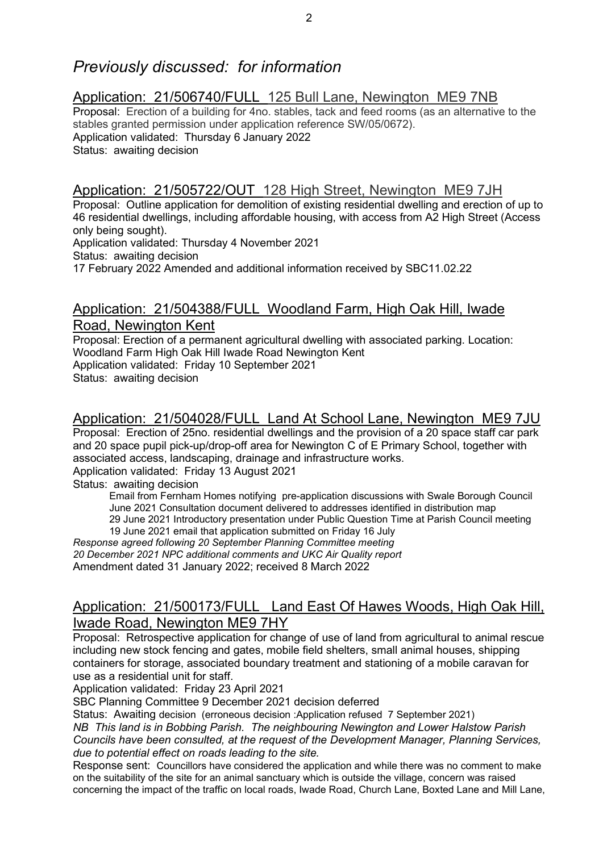## Previously discussed: for information

### Application: 21/506740/FULL 125 Bull Lane, Newington ME9 7NB

Proposal: Erection of a building for 4no. stables, tack and feed rooms (as an alternative to the stables granted permission under application reference SW/05/0672). Application validated: Thursday 6 January 2022 Status: awaiting decision

### Application: 21/505722/OUT 128 High Street, Newington ME9 7JH

Proposal: Outline application for demolition of existing residential dwelling and erection of up to 46 residential dwellings, including affordable housing, with access from A2 High Street (Access only being sought).

Application validated: Thursday 4 November 2021

Status: awaiting decision

17 February 2022 Amended and additional information received by SBC11.02.22

#### Application: 21/504388/FULL Woodland Farm, High Oak Hill, Iwade Road, Newington Kent

Proposal: Erection of a permanent agricultural dwelling with associated parking. Location: Woodland Farm High Oak Hill Iwade Road Newington Kent Application validated: Friday 10 September 2021 Status: awaiting decision

### Application: 21/504028/FULL Land At School Lane, Newington ME9 7JU

Proposal: Erection of 25no. residential dwellings and the provision of a 20 space staff car park and 20 space pupil pick-up/drop-off area for Newington C of E Primary School, together with associated access, landscaping, drainage and infrastructure works. Application validated: Friday 13 August 2021

Status: awaiting decision

Email from Fernham Homes notifying pre-application discussions with Swale Borough Council June 2021 Consultation document delivered to addresses identified in distribution map 29 June 2021 Introductory presentation under Public Question Time at Parish Council meeting

19 June 2021 email that application submitted on Friday 16 July

Response agreed following 20 September Planning Committee meeting 20 December 2021 NPC additional comments and UKC Air Quality report

Amendment dated 31 January 2022; received 8 March 2022

## Application: 21/500173/FULL Land East Of Hawes Woods, High Oak Hill, Iwade Road, Newington ME9 7HY

Proposal: Retrospective application for change of use of land from agricultural to animal rescue including new stock fencing and gates, mobile field shelters, small animal houses, shipping containers for storage, associated boundary treatment and stationing of a mobile caravan for use as a residential unit for staff.

Application validated: Friday 23 April 2021

SBC Planning Committee 9 December 2021 decision deferred

Status: Awaiting decision (erroneous decision :Application refused 7 September 2021)

NB This land is in Bobbing Parish. The neighbouring Newington and Lower Halstow Parish Councils have been consulted, at the request of the Development Manager, Planning Services, due to potential effect on roads leading to the site.

Response sent: Councillors have considered the application and while there was no comment to make on the suitability of the site for an animal sanctuary which is outside the village, concern was raised concerning the impact of the traffic on local roads, Iwade Road, Church Lane, Boxted Lane and Mill Lane,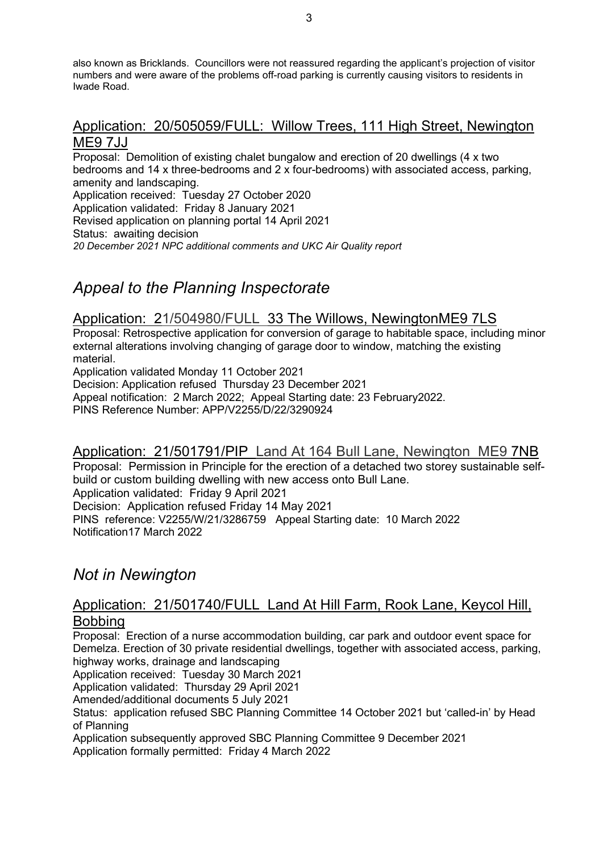also known as Bricklands. Councillors were not reassured regarding the applicant's projection of visitor numbers and were aware of the problems off-road parking is currently causing visitors to residents in Iwade Road.

#### Application: 20/505059/FULL: Willow Trees, 111 High Street, Newington ME9 7JJ

Proposal: Demolition of existing chalet bungalow and erection of 20 dwellings (4 x two bedrooms and 14 x three-bedrooms and 2 x four-bedrooms) with associated access, parking, amenity and landscaping. Application received: Tuesday 27 October 2020 Application validated: Friday 8 January 2021 Revised application on planning portal 14 April 2021 Status: awaiting decision 20 December 2021 NPC additional comments and UKC Air Quality report

## Appeal to the Planning Inspectorate

## Application: 21/504980/FULL 33 The Willows, NewingtonME9 7LS

Proposal: Retrospective application for conversion of garage to habitable space, including minor external alterations involving changing of garage door to window, matching the existing material.

Application validated Monday 11 October 2021

Decision: Application refused Thursday 23 December 2021

Appeal notification: 2 March 2022; Appeal Starting date: 23 February2022.

PINS Reference Number: APP/V2255/D/22/3290924

#### Application: 21/501791/PIP Land At 164 Bull Lane, Newington ME9 7NB

Proposal: Permission in Principle for the erection of a detached two storey sustainable selfbuild or custom building dwelling with new access onto Bull Lane.

Application validated: Friday 9 April 2021

Decision: Application refused Friday 14 May 2021

PINS reference: V2255/W/21/3286759 Appeal Starting date: 10 March 2022 Notification17 March 2022

## Not in Newington

#### Application: 21/501740/FULL Land At Hill Farm, Rook Lane, Keycol Hill, Bobbing

Proposal: Erection of a nurse accommodation building, car park and outdoor event space for Demelza. Erection of 30 private residential dwellings, together with associated access, parking, highway works, drainage and landscaping

Application received: Tuesday 30 March 2021

Application validated: Thursday 29 April 2021

Amended/additional documents 5 July 2021

Status: application refused SBC Planning Committee 14 October 2021 but 'called-in' by Head of Planning

Application subsequently approved SBC Planning Committee 9 December 2021 Application formally permitted: Friday 4 March 2022

3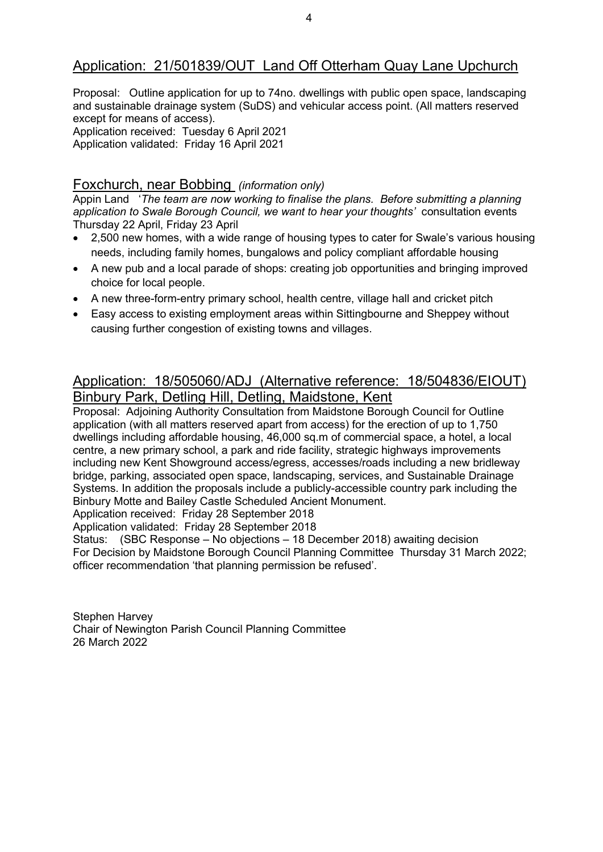## Application: 21/501839/OUT Land Off Otterham Quay Lane Upchurch

Proposal: Outline application for up to 74no. dwellings with public open space, landscaping and sustainable drainage system (SuDS) and vehicular access point. (All matters reserved except for means of access).

Application received: Tuesday 6 April 2021 Application validated: Friday 16 April 2021

#### Foxchurch, near Bobbing (information only)

Appin Land 'The team are now working to finalise the plans. Before submitting a planning application to Swale Borough Council, we want to hear your thoughts' consultation events Thursday 22 April, Friday 23 April

- 2,500 new homes, with a wide range of housing types to cater for Swale's various housing needs, including family homes, bungalows and policy compliant affordable housing
- A new pub and a local parade of shops: creating job opportunities and bringing improved choice for local people.
- A new three-form-entry primary school, health centre, village hall and cricket pitch
- Easy access to existing employment areas within Sittingbourne and Sheppey without causing further congestion of existing towns and villages.

### Application: 18/505060/ADJ (Alternative reference: 18/504836/EIOUT) Binbury Park, Detling Hill, Detling, Maidstone, Kent

Proposal: Adjoining Authority Consultation from Maidstone Borough Council for Outline application (with all matters reserved apart from access) for the erection of up to 1,750 dwellings including affordable housing, 46,000 sq.m of commercial space, a hotel, a local centre, a new primary school, a park and ride facility, strategic highways improvements including new Kent Showground access/egress, accesses/roads including a new bridleway bridge, parking, associated open space, landscaping, services, and Sustainable Drainage Systems. In addition the proposals include a publicly-accessible country park including the Binbury Motte and Bailey Castle Scheduled Ancient Monument.

Application received: Friday 28 September 2018

Application validated: Friday 28 September 2018

Status: (SBC Response – No objections – 18 December 2018) awaiting decision For Decision by Maidstone Borough Council Planning Committee Thursday 31 March 2022; officer recommendation 'that planning permission be refused'.

Stephen Harvey Chair of Newington Parish Council Planning Committee 26 March 2022